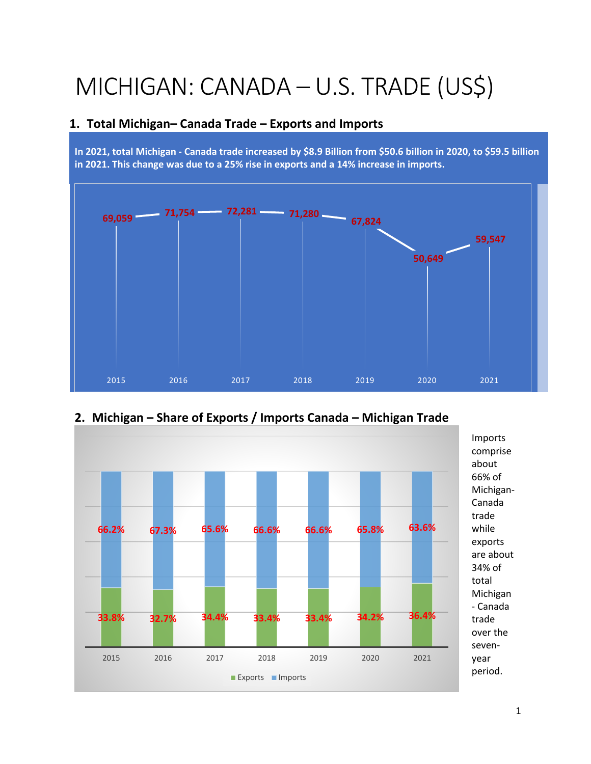# MICHIGAN: CANADA – U.S. TRADE (US\$)

#### **1. Total Michigan– Canada Trade – Exports and Imports**

**In 2021, total Michigan - Canada trade increased by \$8.9 Billion from \$50.6 billion in 2020, to \$59.5 billion in 2021. This change was due to a 25% rise in exports and a 14% increase in imports.** 





# **2. Michigan – Share of Exports / Imports Canada – Michigan Trade**

comprise about 66% of Michigan-Canada trade while exports are about 34% of total Michigan - Canada trade over the sevenyear period.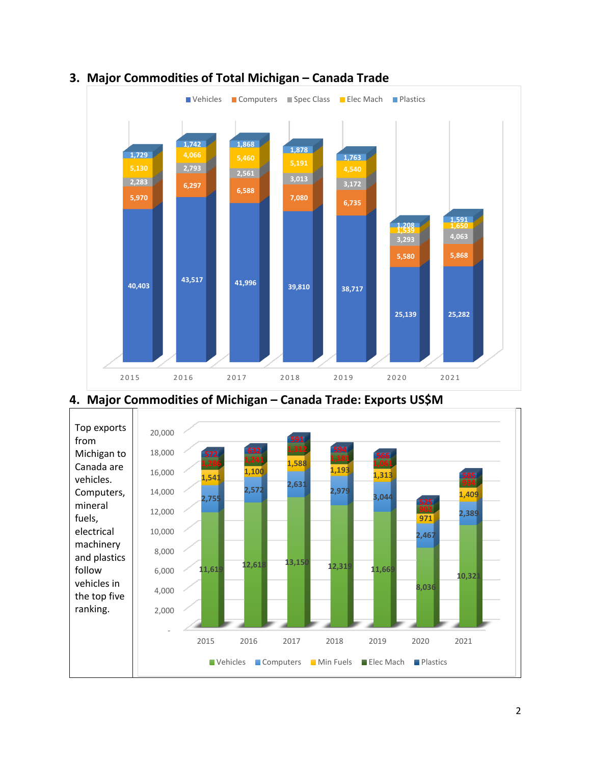

# **3. Major Commodities of Total Michigan – Canada Trade**



## **4. Major Commodities of Michigan – Canada Trade: Exports US\$M**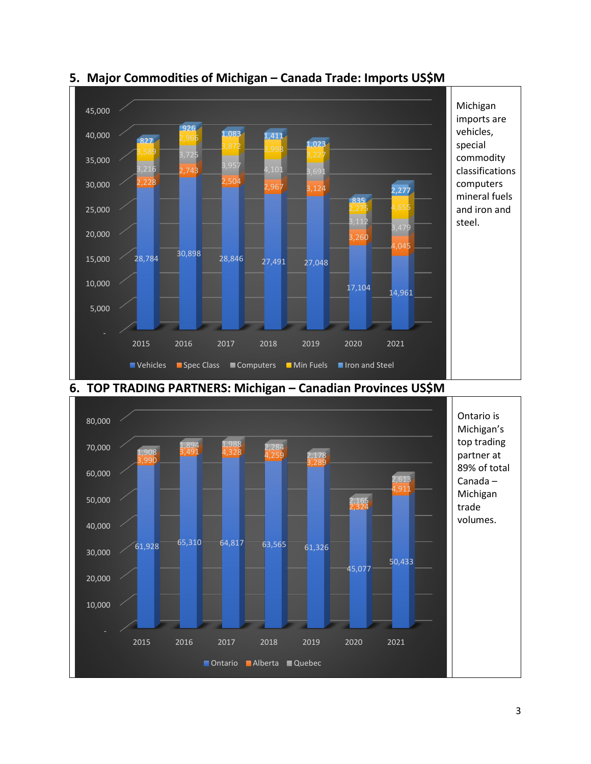

#### **5. Major Commodities of Michigan – Canada Trade: Imports US\$M**



**6. TOP TRADING PARTNERS: Michigan – Canadian Provinces US\$M**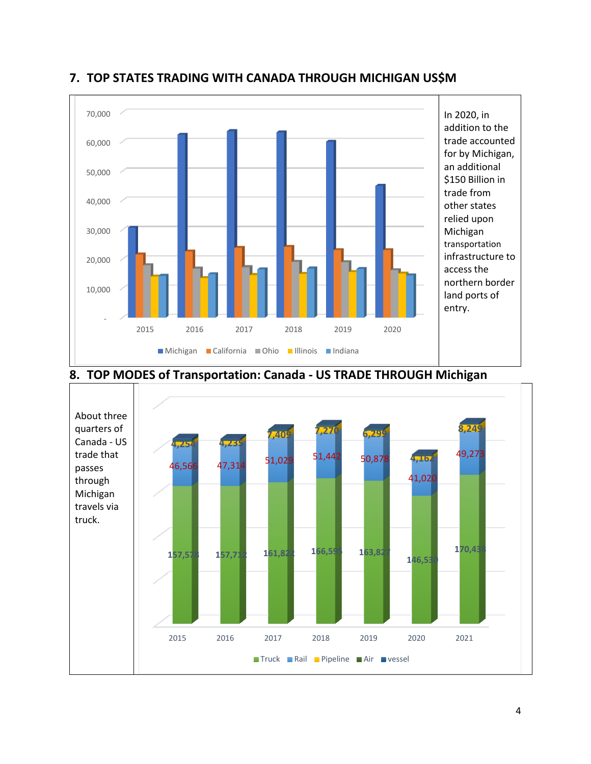

#### **7. TOP STATES TRADING WITH CANADA THROUGH MICHIGAN US\$M**



## **8. TOP MODES of Transportation: Canada - US TRADE THROUGH Michigan**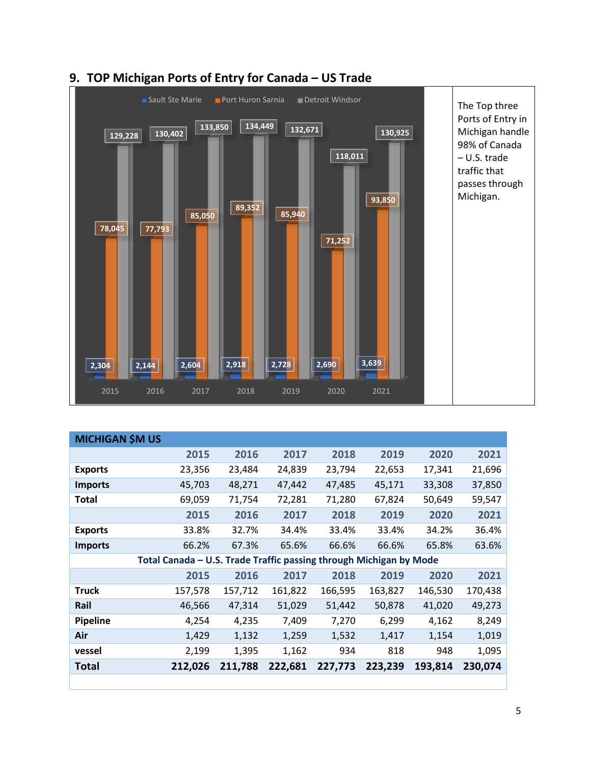

## **9. TOP Michigan Ports of Entry for Canada – US Trade**

| <b>MICHIGAN \$M US</b>                                             |         |         |         |         |         |         |         |  |  |
|--------------------------------------------------------------------|---------|---------|---------|---------|---------|---------|---------|--|--|
|                                                                    | 2015    | 2016    | 2017    | 2018    | 2019    | 2020    | 2021    |  |  |
| <b>Exports</b>                                                     | 23,356  | 23,484  | 24,839  | 23,794  | 22,653  | 17,341  | 21,696  |  |  |
| <b>Imports</b>                                                     | 45,703  | 48,271  | 47,442  | 47,485  | 45,171  | 33,308  | 37,850  |  |  |
| Total                                                              | 69,059  | 71,754  | 72,281  | 71,280  | 67,824  | 50,649  | 59,547  |  |  |
|                                                                    | 2015    | 2016    | 2017    | 2018    | 2019    | 2020    | 2021    |  |  |
| <b>Exports</b>                                                     | 33.8%   | 32.7%   | 34.4%   | 33.4%   | 33.4%   | 34.2%   | 36.4%   |  |  |
| <b>Imports</b>                                                     | 66.2%   | 67.3%   | 65.6%   | 66.6%   | 66.6%   | 65.8%   | 63.6%   |  |  |
| Total Canada - U.S. Trade Traffic passing through Michigan by Mode |         |         |         |         |         |         |         |  |  |
|                                                                    | 2015    | 2016    | 2017    | 2018    | 2019    | 2020    | 2021    |  |  |
| <b>Truck</b>                                                       | 157,578 | 157,712 | 161,822 | 166,595 | 163,827 | 146,530 | 170,438 |  |  |
| Rail                                                               | 46,566  | 47,314  | 51,029  | 51,442  | 50,878  | 41,020  | 49,273  |  |  |
| <b>Pipeline</b>                                                    | 4,254   | 4,235   | 7,409   | 7,270   | 6,299   | 4,162   | 8,249   |  |  |
| Air                                                                | 1,429   | 1,132   | 1,259   | 1,532   | 1,417   | 1,154   | 1,019   |  |  |
| vessel                                                             | 2,199   | 1,395   | 1,162   | 934     | 818     | 948     | 1,095   |  |  |
| Total                                                              | 212,026 | 211,788 | 222,681 | 227,773 | 223,239 | 193,814 | 230,074 |  |  |